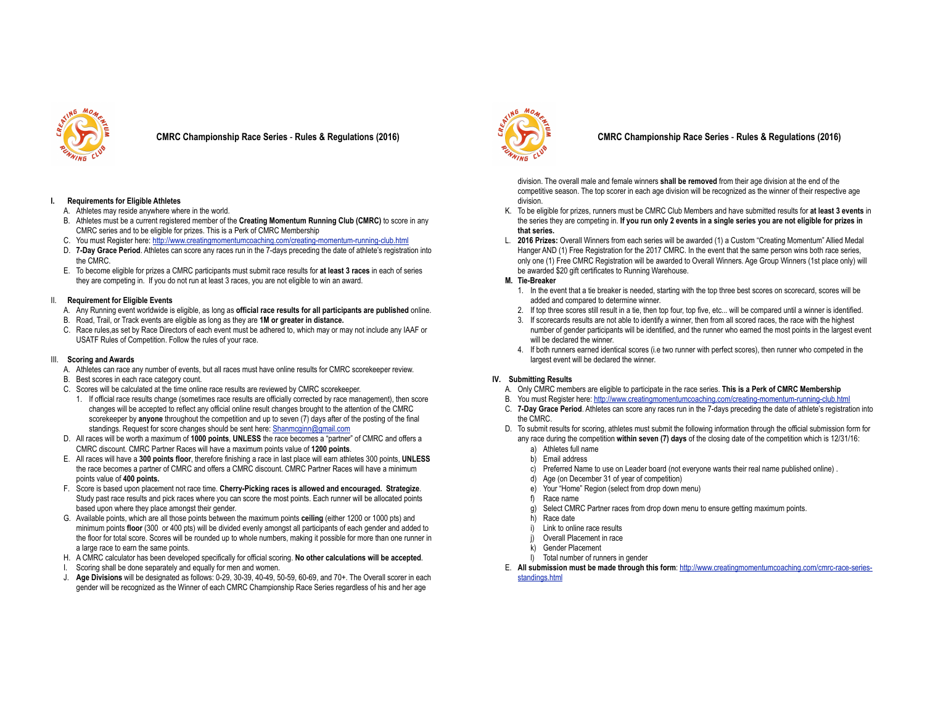

**CMRC Championship Race Series** - **Rules & Regulations (2016)**

### **I. Requirements for Eligible Athletes**

- A. Athletes may reside anywhere where in the world.
- B. Athletes must be a current registered member of the **Creating Momentum Running Club (CMRC)** to score in any CMRC series and to be eligible for prizes. This is a Perk of CMRC Membership
- C. You must Register here: http://www.creatingmomentumcoaching.com/creating-momentum-running-club.html
- D. **7-Day Grace Period**. Athletes can score any races run in the 7-days preceding the date of athlete's registration into the CMRC.
- E. To become eligible for prizes a CMRC participants must submit race results for **at least 3 races** in each of series they are competing in. If you do not run at least 3 races, you are not eligible to win an award.

#### II. **Requirement for Eligible Events**

- A. Any Running event worldwide is eligible, as long as **official race results for all participants are published** online.
- B. Road, Trail, or Track events are eligible as long as they are **1M or greater in distance.**
- C. Race rules,as set by Race Directors of each event must be adhered to, which may or may not include any IAAF or USATF Rules of Competition. Follow the rules of your race.

#### III. **Scoring and Awards**

- A. Athletes can race any number of events, but all races must have online results for CMRC scorekeeper review.
- B. Best scores in each race category count.
- C. Scores will be calculated at the time online race results are reviewed by CMRC scorekeeper.
- 1. If official race results change (sometimes race results are officially corrected by race management), then score changes will be accepted to reflect any official online result changes brought to the attention of the CMRC scorekeeper by **anyone** throughout the competition and up to seven (7) days after of the posting of the final standings. Request for score changes should be sent here: Shanmcginn@gmail.com
- D. All races will be worth a maximum of **1000 points**, **UNLESS** the race becomes a "partner" of CMRC and offers a CMRC discount. CMRC Partner Races will have a maximum points value of **1200 points**.
- E. All races will have a **300 points floor**, therefore finishing a race in last place will earn athletes 300 points, **UNLESS** the race becomes a partner of CMRC and offers a CMRC discount. CMRC Partner Races will have a minimum points value of **400 points.**
- F. Score is based upon placement not race time. **Cherry-Picking races is allowed and encouraged. Strategize**. Study past race results and pick races where you can score the most points. Each runner will be allocated points based upon where they place amongst their gender.
- G. Available points, which are all those points between the maximum points **ceiling** (either 1200 or 1000 pts) and minimum points **floor** (300 or 400 pts) will be divided evenly amongst all participants of each gender and added to the floor for total score. Scores will be rounded up to whole numbers, making it possible for more than one runner in a large race to earn the same points.
- H. A CMRC calculator has been developed specifically for official scoring. **No other calculations will be accepted**.
- I. Scoring shall be done separately and equally for men and women.
- J. **Age Divisions** will be designated as follows: 0-29, 30-39, 40-49, 50-59, 60-69, and 70+. The Overall scorer in each gender will be recognized as the Winner of each CMRC Championship Race Series regardless of his and her age



# **CMRC Championship Race Series** - **Rules & Regulations (2016)**

division. The overall male and female winners **shall be removed** from their age division at the end of the competitive season. The top scorer in each age division will be recognized as the winner of their respective age division.

- K. To be eligible for prizes, runners must be CMRC Club Members and have submitted results for **at least 3 events** in the series they are competing in. **If you run only 2 events in a single series you are not eligible for prizes in that series.**
- L. **2016 Prizes:** Overall Winners from each series will be awarded (1) a Custom "Creating Momentum" Allied Medal Hanger AND (1) Free Registration for the 2017 CMRC. In the event that the same person wins both race series, only one (1) Free CMRC Registration will be awarded to Overall Winners. Age Group Winners (1st place only) will be awarded \$20 gift certificates to Running Warehouse.

### **M. Tie-Breaker**

- 1. In the event that a tie breaker is needed, starting with the top three best scores on scorecard, scores will be added and compared to determine winner.
- 2. If top three scores still result in a tie, then top four, top five, etc... will be compared until a winner is identified.
- 3. If scorecards results are not able to identify a winner, then from all scored races, the race with the highest number of gender participants will be identified, and the runner who earned the most points in the largest event will be declared the winner.
- 4. If both runners earned identical scores (i.e two runner with perfect scores), then runner who competed in the largest event will be declared the winner.

### **IV. Submitting Results**

- A. Only CMRC members are eligible to participate in the race series. **This is a Perk of CMRC Membership**
- B. You must Register here: http://www.creatingmomentumcoaching.com/creating-momentum-running-club.html
- C. **7-Day Grace Period**. Athletes can score any races run in the 7-days preceding the date of athlete's registration into the CMRC.
- D. To submit results for scoring, athletes must submit the following information through the official submission form for any race during the competition **within seven (7) days** of the closing date of the competition which is 12/31/16:
	- a) Athletes full name
	- b) Email address
	- c) Preferred Name to use on Leader board (not everyone wants their real name published online) .
	- d) Age (on December 31 of year of competition)
	- e) Your "Home" Region (select from drop down menu)
	- f) Race name
	- g) Select CMRC Partner races from drop down menu to ensure getting maximum points.
	- h) Race date
	- i) Link to online race results
	- Overall Placement in race
	- k) Gender Placement
	- l) Total number of runners in gender
- E. **All submission must be made through this form**: http://www.creatingmomentumcoaching.com/cmrc-race-seriesstandings.html